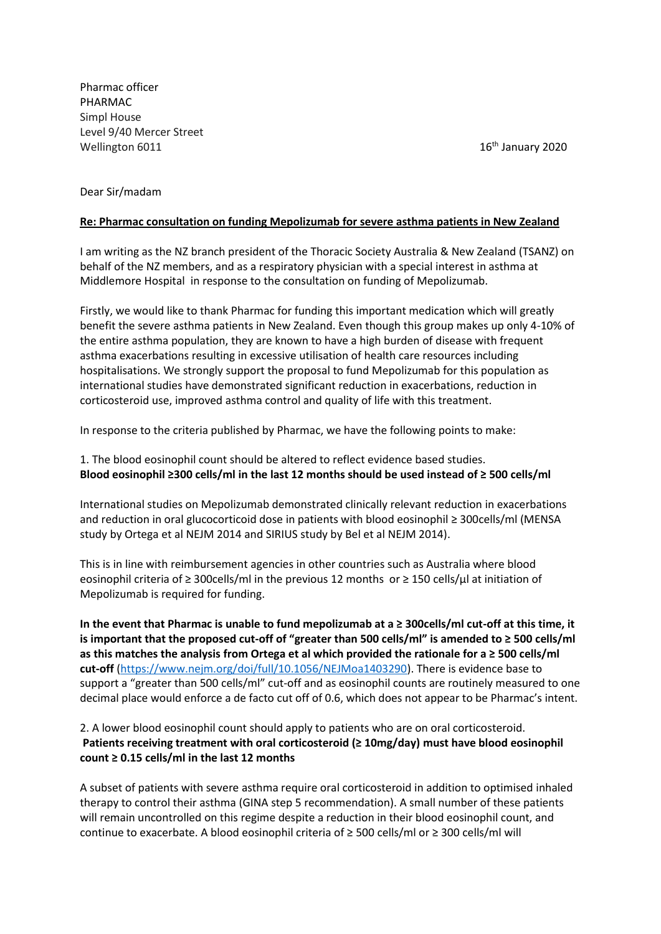Pharmac officer PHARMAC Simpl House Level 9/40 Mercer Street Wellington 6011

16<sup>th</sup> January 2020

## Dear Sir/madam

## **Re: Pharmac consultation on funding Mepolizumab for severe asthma patients in New Zealand**

I am writing as the NZ branch president of the Thoracic Society Australia & New Zealand (TSANZ) on behalf of the NZ members, and as a respiratory physician with a special interest in asthma at Middlemore Hospital in response to the consultation on funding of Mepolizumab.

Firstly, we would like to thank Pharmac for funding this important medication which will greatly benefit the severe asthma patients in New Zealand. Even though this group makes up only 4-10% of the entire asthma population, they are known to have a high burden of disease with frequent asthma exacerbations resulting in excessive utilisation of health care resources including hospitalisations. We strongly support the proposal to fund Mepolizumab for this population as international studies have demonstrated significant reduction in exacerbations, reduction in corticosteroid use, improved asthma control and quality of life with this treatment.

In response to the criteria published by Pharmac, we have the following points to make:

1. The blood eosinophil count should be altered to reflect evidence based studies. **Blood eosinophil ≥300 cells/ml in the last 12 months should be used instead of ≥ 500 cells/ml** 

International studies on Mepolizumab demonstrated clinically relevant reduction in exacerbations and reduction in oral glucocorticoid dose in patients with blood eosinophil ≥ 300cells/ml (MENSA study by Ortega et al NEJM 2014 and SIRIUS study by Bel et al NEJM 2014).

This is in line with reimbursement agencies in other countries such as Australia where blood eosinophil criteria of ≥ 300cells/ml in the previous 12 months or ≥ 150 cells/µl at initiation of Mepolizumab is required for funding.

**In the event that Pharmac is unable to fund mepolizumab at a ≥ 300cells/ml cut-off at this time, it is important that the proposed cut-off of "greater than 500 cells/ml" is amended to ≥ 500 cells/ml as this matches the analysis from Ortega et al which provided the rationale for a ≥ 500 cells/ml cut-off** [\(https://www.nejm.org/doi/full/10.1056/NEJMoa1403290\)](https://www.nejm.org/doi/full/10.1056/NEJMoa1403290). There is evidence base to support a "greater than 500 cells/ml" cut-off and as eosinophil counts are routinely measured to one decimal place would enforce a de facto cut off of 0.6, which does not appear to be Pharmac's intent.

## 2. A lower blood eosinophil count should apply to patients who are on oral corticosteroid. **Patients receiving treatment with oral corticosteroid (≥ 10mg/day) must have blood eosinophil count ≥ 0.15 cells/ml in the last 12 months**

A subset of patients with severe asthma require oral corticosteroid in addition to optimised inhaled therapy to control their asthma (GINA step 5 recommendation). A small number of these patients will remain uncontrolled on this regime despite a reduction in their blood eosinophil count, and continue to exacerbate. A blood eosinophil criteria of ≥ 500 cells/ml or ≥ 300 cells/ml will